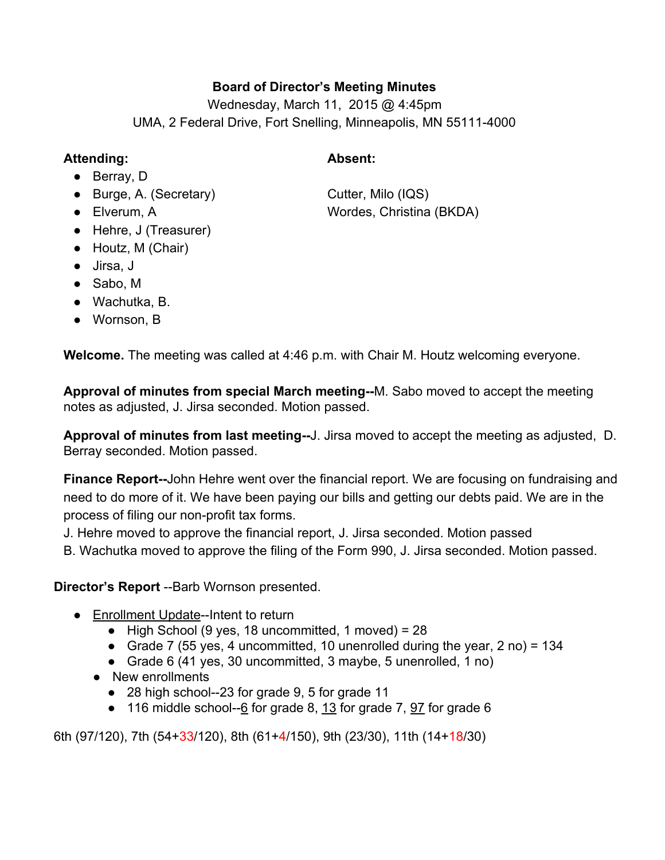## **Board of Director's Meeting Minutes**

Wednesday, March 11, 2015 @ 4:45pm UMA, 2 Federal Drive, Fort Snelling, Minneapolis, MN 55111-4000

### **Attending: Absent:**

- Berray, D
- Burge, A. (Secretary) Cutter, Milo (IQS)
- 
- Hehre, J (Treasurer)
- Houtz, M (Chair)
- Jirsa, J
- Sabo, M
- Wachutka, B.
- Wornson, B

**Welcome.**The meeting was called at 4:46 p.m. with Chair M. Houtz welcoming everyone.

Approval of minutes from special March meeting--M. Sabo moved to accept the meeting notes as adjusted, J. Jirsa seconded. Motion passed.

**Approval of minutes from last meeting--J.** Jirsa moved to accept the meeting as adjusted, D. Berray seconded. Motion passed.

**Finance Report--John Hehre went over the financial report. We are focusing on fundraising and** need to do more of it. We have been paying our bills and getting our debts paid. We are in the process of filing our non-profit tax forms.

J. Hehre moved to approve the financial report, J. Jirsa seconded. Motion passed

B. Wachutka moved to approve the filing of the Form 990, J. Jirsa seconded. Motion passed.

# **Director's Report** --Barb Wornson presented.

- Enrollment Update-Intent to return
	- $\bullet$  High School (9 yes, 18 uncommitted, 1 moved) = 28
	- Grade 7 (55 yes, 4 uncommitted, 10 unenrolled during the year, 2 no) =  $134$
	- Grade 6 (41 yes, 30 uncommitted, 3 maybe, 5 unenrolled, 1 no)
	- New enrollments
		- 28 high school--23 for grade 9, 5 for grade 11
		- $\bullet$  116 middle school-- $6$  for grade 8, 13 for grade 7,  $\frac{97}{2}$  for grade 6

6th (97/120), 7th (54+33/120), 8th (61+4/150), 9th (23/30), 11th (14+18/30)

● Elverum, A Wordes, Christina (BKDA)